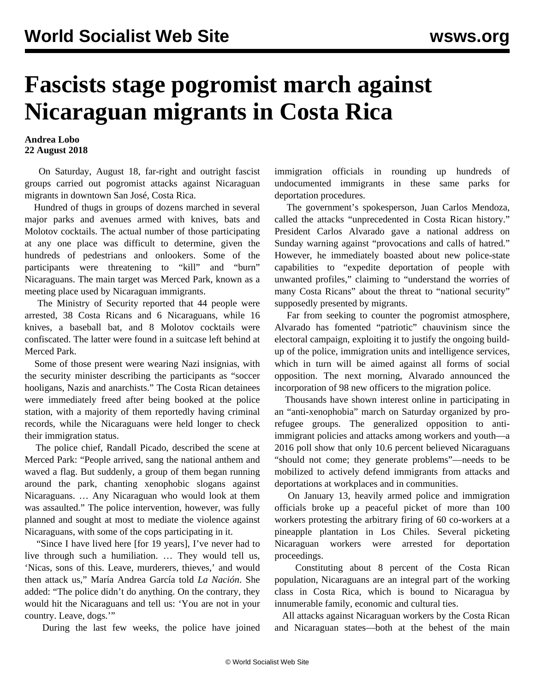## **Fascists stage pogromist march against Nicaraguan migrants in Costa Rica**

## **Andrea Lobo 22 August 2018**

 On Saturday, August 18, far-right and outright fascist groups carried out pogromist attacks against Nicaraguan migrants in downtown San José, Costa Rica.

 Hundred of thugs in groups of dozens marched in several major parks and avenues armed with knives, bats and Molotov cocktails. The actual number of those participating at any one place was difficult to determine, given the hundreds of pedestrians and onlookers. Some of the participants were threatening to "kill" and "burn" Nicaraguans. The main target was Merced Park, known as a meeting place used by Nicaraguan immigrants.

 The Ministry of Security reported that 44 people were arrested, 38 Costa Ricans and 6 Nicaraguans, while 16 knives, a baseball bat, and 8 Molotov cocktails were confiscated. The latter were found in a suitcase left behind at Merced Park.

 Some of those present were wearing Nazi insignias, with the security minister describing the participants as "soccer hooligans, Nazis and anarchists." The Costa Rican detainees were immediately freed after being booked at the police station, with a majority of them reportedly having criminal records, while the Nicaraguans were held longer to check their immigration status.

 The police chief, Randall Picado, described the scene at Merced Park: "People arrived, sang the national anthem and waved a flag. But suddenly, a group of them began running around the park, chanting xenophobic slogans against Nicaraguans. … Any Nicaraguan who would look at them was assaulted." The police intervention, however, was fully planned and sought at most to mediate the violence against Nicaraguans, with some of the cops participating in it.

 "Since I have lived here [for 19 years], I've never had to live through such a humiliation. … They would tell us, 'Nicas, sons of this. Leave, murderers, thieves,' and would then attack us," María Andrea García told *La Nación*. She added: "The police didn't do anything. On the contrary, they would hit the Nicaraguans and tell us: 'You are not in your country. Leave, dogs.'"

During the last few weeks, the police have joined

immigration officials in rounding up hundreds of undocumented immigrants in these same parks for deportation procedures.

 The government's spokesperson, Juan Carlos Mendoza, called the attacks "unprecedented in Costa Rican history." President Carlos Alvarado gave a national address on Sunday warning against "provocations and calls of hatred." However, he immediately boasted about new police-state capabilities to "expedite deportation of people with unwanted profiles," claiming to "understand the worries of many Costa Ricans" about the threat to "national security" supposedly presented by migrants.

 Far from seeking to counter the pogromist atmosphere, Alvarado has fomented "patriotic" chauvinism since the electoral campaign, exploiting it to justify the ongoing buildup of the police, immigration units and intelligence services, which in turn will be aimed against all forms of social opposition. The next morning, Alvarado announced the incorporation of 98 new officers to the migration police.

 Thousands have shown interest online in participating in an "anti-xenophobia" march on Saturday organized by prorefugee groups. The generalized opposition to antiimmigrant policies and attacks among workers and youth—a 2016 poll show that only 10.6 percent believed Nicaraguans "should not come; they generate problems"—needs to be mobilized to actively defend immigrants from attacks and deportations at workplaces and in communities.

 On January 13, heavily armed police and immigration officials broke up a peaceful picket of more than 100 workers protesting the arbitrary firing of 60 co-workers at a pineapple plantation in Los Chiles. Several picketing Nicaraguan workers were arrested for deportation proceedings.

 Constituting about 8 percent of the Costa Rican population, Nicaraguans are an integral part of the working class in Costa Rica, which is bound to Nicaragua by innumerable family, economic and cultural ties.

 All attacks against Nicaraguan workers by the Costa Rican and Nicaraguan states—both at the behest of the main